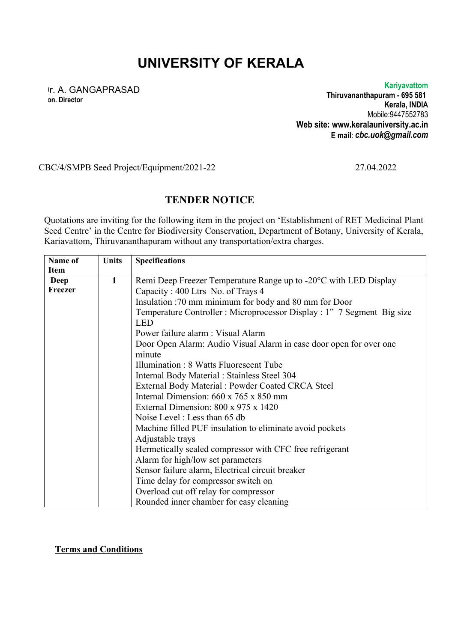## **UNIVERSITY OF KERALA**

Dr. A. GANGAPRASAD **on. Director**

**Kariyavattom Thiruvananthapuram - 695 581 Kerala, INDIA** Mobile:9447552783 **Web site: www.keralauniversity.ac.in E mail**: *cbc.uok@gmail.com*

CBC/4/SMPB Seed Project/Equipment/2021-22 27.04.2022

## **TENDER NOTICE**

Quotations are inviting for the following item in the project on 'Establishment of RET Medicinal Plant Seed Centre' in the Centre for Biodiversity Conservation, Department of Botany, University of Kerala, Kariavattom, Thiruvananthapuram without any transportation/extra charges.

| Name of     | <b>Units</b> | <b>Specifications</b>                                                 |
|-------------|--------------|-----------------------------------------------------------------------|
| <b>Item</b> |              |                                                                       |
| Deep        | 1            | Remi Deep Freezer Temperature Range up to -20°C with LED Display      |
| Freezer     |              | Capacity: 400 Ltrs No. of Trays 4                                     |
|             |              | Insulation :70 mm minimum for body and 80 mm for Door                 |
|             |              | Temperature Controller: Microprocessor Display: 1" 7 Segment Big size |
|             |              | <b>LED</b>                                                            |
|             |              | Power failure alarm : Visual Alarm                                    |
|             |              | Door Open Alarm: Audio Visual Alarm in case door open for over one    |
|             |              | minute                                                                |
|             |              | Illumination: 8 Watts Fluorescent Tube                                |
|             |              | Internal Body Material : Stainless Steel 304                          |
|             |              | External Body Material: Powder Coated CRCA Steel                      |
|             |              | Internal Dimension: 660 x 765 x 850 mm                                |
|             |              | External Dimension: 800 x 975 x 1420                                  |
|             |              | Noise Level: Less than 65 db                                          |
|             |              | Machine filled PUF insulation to eliminate avoid pockets              |
|             |              | Adjustable trays                                                      |
|             |              | Hermetically sealed compressor with CFC free refrigerant              |
|             |              | Alarm for high/low set parameters                                     |
|             |              | Sensor failure alarm, Electrical circuit breaker                      |
|             |              | Time delay for compressor switch on                                   |
|             |              | Overload cut off relay for compressor                                 |
|             |              | Rounded inner chamber for easy cleaning                               |

**Terms and Conditions**